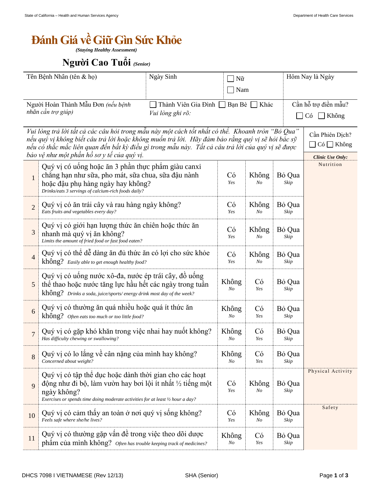## *<u>Bánh Giá về Giữ Gìn Sức Khỏe</u>*

*(Staying Healthy Assessment)*

## **Người Cao Tuổi** (Senior)

| Tên Bệnh Nhân (tên & họ)                                                                                                                                                                                                                                                                                                                                 |                                                                                                                                                                                                                        | Ngày Sinh                                                       | Nữ                      |                |                | Hôm Nay là Ngày                                                      |  |
|----------------------------------------------------------------------------------------------------------------------------------------------------------------------------------------------------------------------------------------------------------------------------------------------------------------------------------------------------------|------------------------------------------------------------------------------------------------------------------------------------------------------------------------------------------------------------------------|-----------------------------------------------------------------|-------------------------|----------------|----------------|----------------------------------------------------------------------|--|
| Người Hoàn Thành Mẫu Đơn (nếu bệnh<br>nhân cần trợ giúp)                                                                                                                                                                                                                                                                                                 |                                                                                                                                                                                                                        | Nam<br>Bạn Bè ∴ Khác<br>Thành Viên Gia Đình<br>Vui lòng ghi rõ: |                         |                |                | Cần hỗ trợ điền mẫu?<br>$\blacksquare$ Không<br>Có                   |  |
| Vui lòng trả lời tất cả các câu hỏi trong mẫu này một cách tốt nhất có thể. Khoanh tròn "Bỏ Qua"<br>nếu quý vị không biết câu trả lời hoặc không muốn trả lời. Hãy đảm bảo rằng quý vị sẽ hỏi bác sỹ<br>nếu có thắc mắc liên quan đến bất kỳ điều gì trong mẫu này.  Tất cả câu trả lời của quý vị sẽ được<br>bảo vệ như một phần hồ sơ y tế của quý vị. |                                                                                                                                                                                                                        |                                                                 |                         |                |                | Cần Phiên Dịch?<br>$\Box$ Có $\Box$ Không<br><b>Clinic Use Only:</b> |  |
| $\mathbf{1}$                                                                                                                                                                                                                                                                                                                                             | Quý vị có uống hoặc ăn 3 phần thực phẩm giàu canxi<br>chẳng hạn như sữa, pho mát, sữa chua, sữa đậu nành<br>hoặc đậu phụ hàng ngày hay không?<br>Drinks/eats 3 servings of calcium-rich foods daily?                   |                                                                 |                         | Không<br>No    | Bỏ Qua<br>Skip | Nutrition                                                            |  |
| $\overline{2}$                                                                                                                                                                                                                                                                                                                                           | Quý vị có ăn trái cây và rau hàng ngày không?<br>Eats fruits and vegetables every day?                                                                                                                                 | Có<br>Yes                                                       | Không<br>No             | Bỏ Qua<br>Skip |                |                                                                      |  |
| $\mathfrak{Z}$                                                                                                                                                                                                                                                                                                                                           | Quý vị có giới hạn lượng thức ăn chiến hoặc thức ăn<br>nhanh mà quý vị ăn không?<br>Limits the amount of fried food or fast food eaten?                                                                                |                                                                 |                         | Không<br>No    | Bỏ Qua<br>Skip |                                                                      |  |
| $\overline{4}$                                                                                                                                                                                                                                                                                                                                           | Quý vị có thể dễ dàng ăn đủ thức ăn có lợi cho sức khỏe<br>không? Easily able to get enough healthy food?                                                                                                              | Có<br>Yes                                                       | Không<br>$N_{O}$        | Bỏ Qua<br>Skip |                |                                                                      |  |
| 5                                                                                                                                                                                                                                                                                                                                                        | Quý vị có uống nước xô-đa, nước ép trái cây, đồ uống<br>thể thao hoặc nước tăng lực hầu hết các ngày trong tuần<br>không? Drinks a soda, juice/sports/energy drink most day of the week?                               |                                                                 |                         | Có<br>Yes      | Bỏ Qua<br>Skip |                                                                      |  |
| 6                                                                                                                                                                                                                                                                                                                                                        | Quý vị có thường ăn quá nhiều hoặc quá ít thức ăn<br>không? Often eats too much or too little food?                                                                                                                    |                                                                 |                         | Có<br>Yes      | Bỏ Qua<br>Skip |                                                                      |  |
| $\overline{7}$                                                                                                                                                                                                                                                                                                                                           | Quý vị có gặp khó khăn trong việc nhai hay nuột không?<br>Has difficulty chewing or swallowing?                                                                                                                        |                                                                 |                         | Có<br>Yes      | Bỏ Qua<br>Skip |                                                                      |  |
| 8                                                                                                                                                                                                                                                                                                                                                        | Quý vị có lo lăng về cân nặng của mình hay không?<br>Concerned about weight?                                                                                                                                           | Không<br>No                                                     | Có<br>Yes               | Bỏ Qua<br>Skip |                |                                                                      |  |
| 9                                                                                                                                                                                                                                                                                                                                                        | Quý vị có tập thể dục hoặc dành thời gian cho các hoạt<br>động như đi bộ, làm vườn hay bơi lội ít nhất 1/2 tiếng một<br>ngày không?<br>Exercises or spends time doing moderate activities for at least 1/2 hour a day? |                                                                 |                         | Không<br>No    | Bỏ Qua<br>Skip | Physical Activity                                                    |  |
| 10                                                                                                                                                                                                                                                                                                                                                       | Quý vị có cảm thấy an toàn ở nơi quý vị sống không?<br>Feels safe where she/he lives?                                                                                                                                  |                                                                 | Có<br>Yes               | Không<br>No    | Bỏ Qua<br>Skip | Safety                                                               |  |
| 11                                                                                                                                                                                                                                                                                                                                                       | Quý vị có thường gặp vấn đề trong việc theo dõi dược<br>phâm của mình không? Often has trouble keeping track of medicines?                                                                                             |                                                                 | Không<br>N <sub>O</sub> | Có<br>Yes      | Bỏ Qua<br>Skip |                                                                      |  |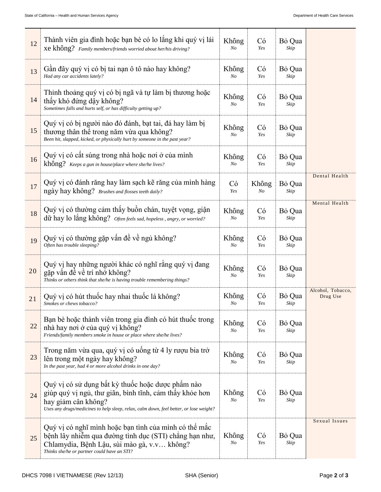| 12 | Thành viên gia đình hoặc bạn bè có lo lắng khi quý vị lái<br>Xe không? Family members/friends worried about her/his driving?                                                                                                  |             | Có<br>Yes   | Bỏ Qua<br>Skip |                               |
|----|-------------------------------------------------------------------------------------------------------------------------------------------------------------------------------------------------------------------------------|-------------|-------------|----------------|-------------------------------|
| 13 | Gần đây quý vị có bị tai nan ô tô nào hay không?<br>Had any car accidents lately?                                                                                                                                             |             | Có<br>Yes   | Bỏ Qua<br>Skip |                               |
| 14 | Thỉnh thoảng quý vị có bị ngã và tự làm bị thương hoặc<br>thấy khó đứng dây không?<br>Sometimes falls and hurts self, or has difficulty getting up?                                                                           |             | Có<br>Yes   | Bỏ Qua<br>Skip |                               |
| 15 | Quý vị có bị người nào đó đánh, bạt tai, đá hay làm bị<br>thương thân thể trong năm vừa qua không?<br>Been hit, slapped, kicked, or physically hurt by someone in the past year?                                              |             | Có<br>Yes   | Bỏ Qua<br>Skip |                               |
| 16 | Quý vị có cất súng trong nhà hoặc nơi ở của mình<br>không? Keeps a gun in house/place where she/he lives?                                                                                                                     | Không<br>No | Có<br>Yes   | Bỏ Qua<br>Skip |                               |
| 17 | Quý vị có đánh răng hay làm sạch kẽ răng của mình hàng<br>ngày hay không? Brushes and flosses teeth daily?                                                                                                                    | Có<br>Yes   | Không<br>No | Bỏ Qua<br>Skip | Dental Health                 |
| 18 | Quý vị có thường cảm thấy buồn chán, tuyệt vọng, giận<br>dữ hay lo lắng không? Often feels sad, hopeless, angry, or worried?                                                                                                  |             | Có<br>Yes   | Bỏ Qua<br>Skip | Mental Health                 |
| 19 | Quý vị có thường gặp vấn đề về ngủ không?<br>Often has trouble sleeping?                                                                                                                                                      |             | Có<br>Yes   | Bỏ Qua<br>Skip |                               |
| 20 | Quý vị hay những người khác có nghĩ rằng quý vị đang<br>gặp vấn đề về trí nhớ không?<br>Thinks or others think that she/he is having trouble remembering things?                                                              |             | Có<br>Yes   | Bỏ Qua<br>Skip |                               |
| 21 | Quý vị có hút thuốc hay nhai thuốc lá không?<br>Smokes or chews tobacco?                                                                                                                                                      |             | Có<br>Yes   | Bỏ Qua<br>Skip | Alcohol, Tobacco,<br>Drug Use |
| 22 | Bạn bè hoặc thành viên trong gia đình có hút thuốc trong<br>nhà hay nơi ở của quý vị không?<br>Friends/family members smoke in house or place where she/he lives?                                                             |             | Có<br>Yes   | Bỏ Qua<br>Skip |                               |
| 23 | Trong năm vừa qua, quý vị có uống từ 4 ly rượu bia trở<br>lên trong một ngày hay không?<br>In the past year, had 4 or more alcohol drinks in one day?                                                                         |             | Có<br>Yes   | Bỏ Qua<br>Skip |                               |
| 24 | Quý vị có sử dụng bất kỳ thuốc hoặc dược phẩm nào<br>giúp quý vị ngủ, thư giãn, bình tĩnh, cảm thấy khỏe hơn<br>hay giảm cân không?<br>Uses any drugs/medicines to help sleep, relax, calm down, feel better, or lose weight? | Không<br>No | Có<br>Yes   | Bỏ Qua<br>Skip |                               |
| 25 | Quý vị có nghĩ mình hoặc bạn tình của mình có thể mắc<br>bệnh lây nhiễm qua đường tình dục (STI) chẳng hạn như,<br>Chlamydia, Bệnh Lậu, sùi mào gà, v.v không?<br>Thinks she/he or partner could have an STI?                 | Không<br>No | Có<br>Yes   | Bỏ Qua<br>Skip | Sexual Issues                 |